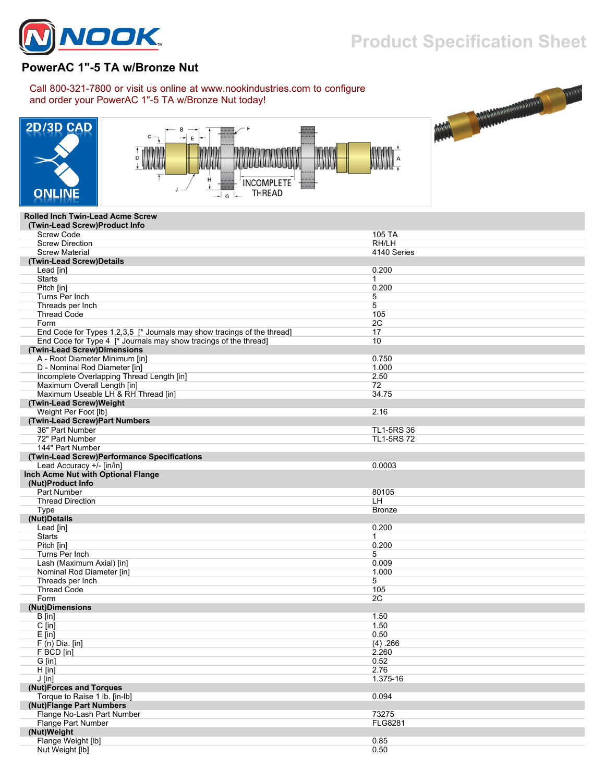

## **Product Specification Sheet**

## **PowerAC 1"-5 TA w/Bronze Nut**

## Call 800-321-7800 or visit us online at www.nookindustries.com to configure and order your PowerAC 1"-5 TA w/Bronze Nut today!







## **Rolled Inch Twin-Lead Acme Screw**

| (Twin-Lead Screw)Product Info                                           |                   |
|-------------------------------------------------------------------------|-------------------|
| <b>Screw Code</b>                                                       | 105 TA            |
| <b>Screw Direction</b>                                                  | RH/LH             |
| <b>Screw Material</b>                                                   | 4140 Series       |
| (Twin-Lead Screw)Details                                                |                   |
| Lead [in]                                                               | 0.200             |
| <b>Starts</b>                                                           | $\mathbf{1}$      |
| Pitch [in]                                                              | 0.200             |
| Turns Per Inch                                                          | 5                 |
| Threads per Inch                                                        | 5                 |
| <b>Thread Code</b>                                                      | 105               |
| Form                                                                    | 2C                |
| End Code for Types 1,2,3,5 [* Journals may show tracings of the thread] | 17                |
| End Code for Type 4 [* Journals may show tracings of the thread]        | 10                |
| (Twin-Lead Screw)Dimensions                                             |                   |
| A - Root Diameter Minimum [in]                                          | 0.750             |
| D - Nominal Rod Diameter [in]                                           | 1.000             |
| Incomplete Overlapping Thread Length [in]                               | 2.50              |
| Maximum Overall Length [in]                                             | 72                |
| Maximum Useable LH & RH Thread [in]                                     | 34.75             |
| (Twin-Lead Screw)Weight                                                 |                   |
| Weight Per Foot [lb]                                                    | 2.16              |
| (Twin-Lead Screw)Part Numbers                                           |                   |
| 36" Part Number                                                         | <b>TL1-5RS 36</b> |
| 72" Part Number                                                         | <b>TL1-5RS72</b>  |
| 144" Part Number                                                        |                   |
|                                                                         |                   |
| (Twin-Lead Screw)Performance Specifications                             | 0.0003            |
| Lead Accuracy +/- [in/in]                                               |                   |
| Inch Acme Nut with Optional Flange<br>(Nut)Product Info                 |                   |
|                                                                         |                   |
| <b>Part Number</b>                                                      | 80105             |
| <b>Thread Direction</b>                                                 | LH.               |
| Type                                                                    | <b>Bronze</b>     |
| (Nut)Details                                                            |                   |
| Lead [in]                                                               | 0.200             |
| <b>Starts</b>                                                           | 1                 |
| Pitch [in]                                                              | 0.200             |
| Turns Per Inch                                                          | 5                 |
| Lash (Maximum Axial) [in]                                               | 0.009             |
| Nominal Rod Diameter [in]                                               | 1.000             |
| Threads per Inch                                                        | 5                 |
| <b>Thread Code</b>                                                      | 105               |
| Form                                                                    | 2C                |
| (Nut)Dimensions                                                         |                   |
| B [in]                                                                  | 1.50              |
| $C$ [in]                                                                | 1.50              |
| $E$ [in]                                                                | 0.50              |
| $F(n)$ Dia. [in]                                                        | (4) .266          |
| F BCD [in]                                                              | 2.260             |
| G [in]                                                                  | 0.52              |
| $H$ [in]                                                                | 2.76              |
| $J$ [in]                                                                | 1.375-16          |
| (Nut)Forces and Torques                                                 |                   |
| Torque to Raise 1 lb. [in-lb]                                           | 0.094             |
| (Nut)Flange Part Numbers                                                |                   |
| Flange No-Lash Part Number                                              | 73275             |
| Flange Part Number                                                      | <b>FLG8281</b>    |
| (Nut)Weight                                                             |                   |
| Flange Weight [lb]                                                      | 0.85              |
| Nut Weight [lb]                                                         | 0.50              |
|                                                                         |                   |